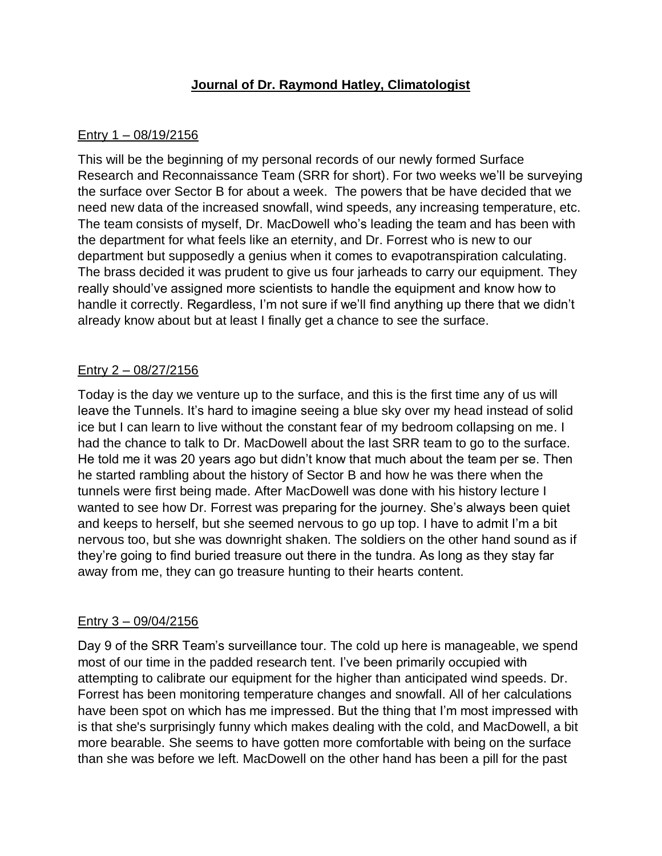# **Journal of Dr. Raymond Hatley, Climatologist**

### Entry 1 – 08/19/2156

This will be the beginning of my personal records of our newly formed Surface Research and Reconnaissance Team (SRR for short). For two weeks we'll be surveying the surface over Sector B for about a week. The powers that be have decided that we need new data of the increased snowfall, wind speeds, any increasing temperature, etc. The team consists of myself, Dr. MacDowell who's leading the team and has been with the department for what feels like an eternity, and Dr. Forrest who is new to our department but supposedly a genius when it comes to evapotranspiration calculating. The brass decided it was prudent to give us four jarheads to carry our equipment. They really should've assigned more scientists to handle the equipment and know how to handle it correctly. Regardless, I'm not sure if we'll find anything up there that we didn't already know about but at least I finally get a chance to see the surface.

## Entry 2 – 08/27/2156

Today is the day we venture up to the surface, and this is the first time any of us will leave the Tunnels. It's hard to imagine seeing a blue sky over my head instead of solid ice but I can learn to live without the constant fear of my bedroom collapsing on me. I had the chance to talk to Dr. MacDowell about the last SRR team to go to the surface. He told me it was 20 years ago but didn't know that much about the team per se. Then he started rambling about the history of Sector B and how he was there when the tunnels were first being made. After MacDowell was done with his history lecture I wanted to see how Dr. Forrest was preparing for the journey. She's always been quiet and keeps to herself, but she seemed nervous to go up top. I have to admit I'm a bit nervous too, but she was downright shaken. The soldiers on the other hand sound as if they're going to find buried treasure out there in the tundra. As long as they stay far away from me, they can go treasure hunting to their hearts content.

#### Entry 3 – 09/04/2156

Day 9 of the SRR Team's surveillance tour. The cold up here is manageable, we spend most of our time in the padded research tent. I've been primarily occupied with attempting to calibrate our equipment for the higher than anticipated wind speeds. Dr. Forrest has been monitoring temperature changes and snowfall. All of her calculations have been spot on which has me impressed. But the thing that I'm most impressed with is that she's surprisingly funny which makes dealing with the cold, and MacDowell, a bit more bearable. She seems to have gotten more comfortable with being on the surface than she was before we left. MacDowell on the other hand has been a pill for the past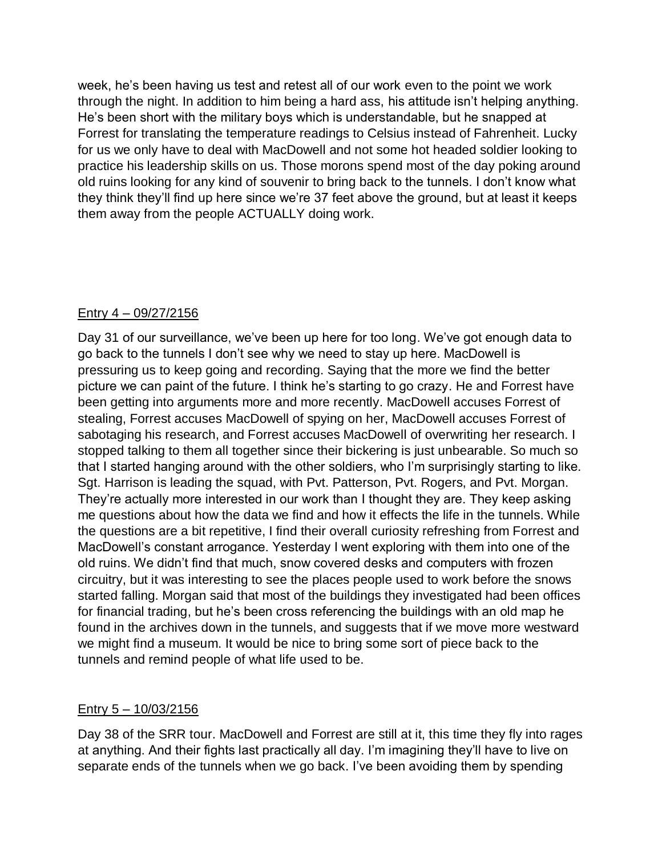week, he's been having us test and retest all of our work even to the point we work through the night. In addition to him being a hard ass, his attitude isn't helping anything. He's been short with the military boys which is understandable, but he snapped at Forrest for translating the temperature readings to Celsius instead of Fahrenheit. Lucky for us we only have to deal with MacDowell and not some hot headed soldier looking to practice his leadership skills on us. Those morons spend most of the day poking around old ruins looking for any kind of souvenir to bring back to the tunnels. I don't know what they think they'll find up here since we're 37 feet above the ground, but at least it keeps them away from the people ACTUALLY doing work.

## Entry 4 – 09/27/2156

Day 31 of our surveillance, we've been up here for too long. We've got enough data to go back to the tunnels I don't see why we need to stay up here. MacDowell is pressuring us to keep going and recording. Saying that the more we find the better picture we can paint of the future. I think he's starting to go crazy. He and Forrest have been getting into arguments more and more recently. MacDowell accuses Forrest of stealing, Forrest accuses MacDowell of spying on her, MacDowell accuses Forrest of sabotaging his research, and Forrest accuses MacDowell of overwriting her research. I stopped talking to them all together since their bickering is just unbearable. So much so that I started hanging around with the other soldiers, who I'm surprisingly starting to like. Sgt. Harrison is leading the squad, with Pvt. Patterson, Pvt. Rogers, and Pvt. Morgan. They're actually more interested in our work than I thought they are. They keep asking me questions about how the data we find and how it effects the life in the tunnels. While the questions are a bit repetitive, I find their overall curiosity refreshing from Forrest and MacDowell's constant arrogance. Yesterday I went exploring with them into one of the old ruins. We didn't find that much, snow covered desks and computers with frozen circuitry, but it was interesting to see the places people used to work before the snows started falling. Morgan said that most of the buildings they investigated had been offices for financial trading, but he's been cross referencing the buildings with an old map he found in the archives down in the tunnels, and suggests that if we move more westward we might find a museum. It would be nice to bring some sort of piece back to the tunnels and remind people of what life used to be.

#### Entry 5 – 10/03/2156

Day 38 of the SRR tour. MacDowell and Forrest are still at it, this time they fly into rages at anything. And their fights last practically all day. I'm imagining they'll have to live on separate ends of the tunnels when we go back. I've been avoiding them by spending